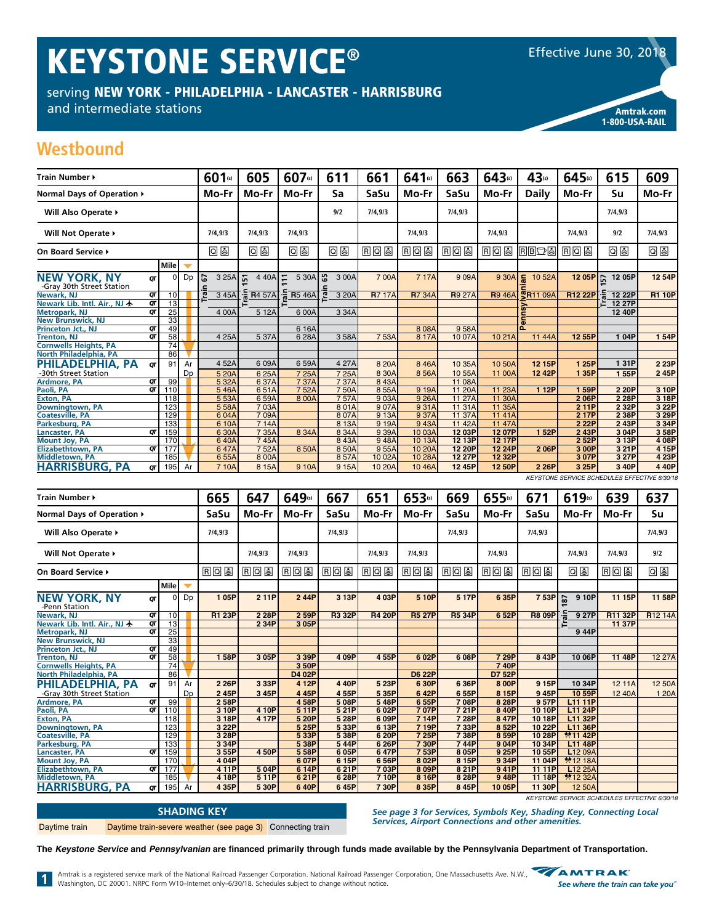# **KEYSTONE SERVICE®**

serving NEW YORK - PHILADELPHIA - LANCASTER - HARRISBURG

and intermediate stations



**Amtrak.com** 1-800-USA-RAIL

### Westbound

| Train Number ▶                                   |                |                  |                |                  | 601(s)  | 605                              | 607(s)         | 611                         | 661          | 641(s)        | 663            | 643(s)         | 43(s)           | 645(s)         | 615                                                   | 609           |
|--------------------------------------------------|----------------|------------------|----------------|------------------|---------|----------------------------------|----------------|-----------------------------|--------------|---------------|----------------|----------------|-----------------|----------------|-------------------------------------------------------|---------------|
| Normal Days of Operation ▶                       |                |                  |                |                  | Mo-Fr   | Mo-Fr                            | Mo-Fr          | Sa                          | SaSu         | Mo-Fr         | SaSu           | Mo-Fr          | <b>Daily</b>    | Mo-Fr          | Su                                                    | Mo-Fr         |
| Will Also Operate ▶                              |                |                  |                |                  |         |                                  |                | 9/2                         | 7/4,9/3      |               | 7/4,9/3        |                |                 |                | 7/4,9/3                                               |               |
| Will Not Operate ▶                               |                |                  |                |                  | 7/4.9/3 | 7/4.9/3                          | 7/4,9/3        |                             |              | 7/4,9/3       |                | 7/4.9/3        |                 | 7/4.9/3        | 9/2                                                   | 7/4,9/3       |
| On Board Service ▶                               |                |                  |                |                  | 08      | 回国                               | 回国             | 09                          | <b>RQS</b>   | <b>RQS</b>    | <b>RQS</b>     | <b>RQU</b>     | $R$ $B$ $D$ $S$ | <b>RQS</b>     | Q &                                                   | Q⊌            |
|                                                  |                | Mile             |                |                  |         |                                  |                |                             |              |               |                |                |                 |                |                                                       |               |
| <b>NEW YORK, NY</b><br>-Gray 30th Street Station | OΤ             | C                | Dp             | 57<br>$\epsilon$ | 3 25A   | 문<br>4 4 0 A                     | E.<br>5 30A    | ြို့<br>3 00A<br>$\epsilon$ | 700A         | 717A          | 909A           | 9 30A          | ١F<br>10 52A    | 12 05P         | 5<br>12 05P                                           | 12 54P        |
| <b>Newark, NJ</b>                                | $\overline{a}$ | 10               |                | <u>ក្រ</u>       | 3 45A   | $\frac{2}{5}$ R <sub>4</sub> 57A | <b>R</b> 5 46A | ē<br>3 20A                  | <b>R717A</b> | <b>R7 34A</b> | <b>R</b> 9 27A | <b>R</b> 9 46A | <b>SR11 09A</b> | <b>R12 22P</b> | 12 22P                                                | <b>R1 10P</b> |
| Newark Lib. Intl. Air., NJ 卡                     | QT             | 13               |                |                  |         |                                  |                |                             |              |               |                |                |                 |                | 는 12.27P                                              |               |
| <b>Metropark, NJ</b>                             | QΤ             | 25               |                |                  | 4 00A   | 5 12A                            | 6 00A          | 3 34A                       |              |               |                |                |                 |                | 12 40P                                                |               |
| <b>New Brunswick, NJ</b>                         |                | 33               |                |                  |         |                                  |                |                             |              |               |                |                | 듦               |                |                                                       |               |
| <b>Princeton Jct., NJ</b>                        | QΤ             | 49               |                |                  |         |                                  | 6 16A          |                             |              | 808A          | 958A           |                |                 |                |                                                       |               |
| <b>Trenton, NJ</b>                               | σт             | 58               |                |                  | 4 25A   | 537A                             | 628A           | 3 58A                       | 753A         | 8 17A         | 1007A          | 10 21A         | 11 44A          | 12 55P         | 104P                                                  | 1 54P         |
| <b>Cornwells Heights, PA</b>                     |                | 74               |                |                  |         |                                  |                |                             |              |               |                |                |                 |                |                                                       |               |
| North Philadelphia, PA                           |                | 86               |                |                  |         |                                  |                |                             |              |               |                |                |                 |                |                                                       |               |
| PHILADELPHIA, PA                                 | ОТ             | 91               | Ar             |                  | 4 52A   | 6 09A                            | 6 59A          | 4 27A                       | 8 20 A       | 846A          | 10 35A         | 10 50A         | 12 15P          | 1 25P          | 131P                                                  | 2 23P         |
| -30th Street Station                             |                |                  | D <sub>D</sub> |                  | 5 20A   | 6 25A                            | 7 25A          | 7 25A                       | 8 30A        | 856A          | 10 55A         | 11 00A         | 12 42P          | 135P           | 155P                                                  | 245P          |
| <b>Ardmore, PA</b>                               | QΤ             | 99               |                |                  | 5 32A   | 6 37A                            | 737A           | 737A                        | 843A         |               | 11 08A         |                |                 |                |                                                       |               |
| Paoli, PA                                        | QΤ             | 110              |                |                  | 546A    | 651A                             | 752A           | 750A                        | 855A         | 9 19A         | 11 20A         | 11 23A         | 1 1 2 P         | 159P           | 2 20P                                                 | 3 10P         |
| <b>Exton, PA</b>                                 |                | $\overline{118}$ |                |                  | 5 5 3 A | 659A                             | 8 0 0 A        | 757A                        | 9 03A        | 9 26A         | 11 27A         | 11 30A         |                 | 206P           | 2 28P                                                 | 3 18P         |
| <b>Downingtown, PA</b>                           |                | 123              |                |                  | 558A    | 703A                             |                | 801A                        | 907A         | 931A          | 11 31 A        | 11 35A         |                 | 211P           | 2 3 2 P                                               | 3 22P         |
| <b>Coatesville, PA</b>                           |                | 129              |                |                  | 604A    | 709A                             |                | 807A                        | 9 13A        | 937A          | 11 37A         | 1141A          |                 | 2 17P          | 2 38P                                                 | 3 29P         |
| Parkesburg, PA                                   |                | 133              |                |                  | 6 10A   | 714A                             |                | 8 13A                       | 9 19A        | 943A          | 11 42A         | 11 47A         |                 | 2 2 2 P        | 243P                                                  | 3 34P         |
| Lancaster, PA                                    | QΤ             | 159              |                |                  | 6 30A   | 7 35A                            | 8 3 4 A        | 8 3 4 A                     | 9 3 9 A      | 10 03A        | 12 03P         | 12 07P         | 1 52P           | 2 43P          | 304P                                                  | 3 58P         |
| <b>Mount Jov. PA</b>                             |                | 170              |                |                  | 640A    | 745A                             |                | 843A                        | 948A         | 10 13A        | 12 13P         | 12 17P         |                 | 2 52P          | 3 13P                                                 | 4 08P         |
| <b>Elizabethtown, PA</b>                         | QΤ             | 177              |                |                  | 647A    | 752A                             | 850A           | 850A                        | 955A         | 10 20A        | 12 20P         | 12 24P         | 206P            | 3 00P          | 3 21P                                                 | 4 15P         |
| <b>Middletown, PA</b>                            |                | 185              |                |                  | 655A    | 8 0 0 A                          |                | 857A                        | 10 02A       | 10 28A        | 12 27P         | 12 32P         |                 | 307P           | 3 27P                                                 | 4 23P         |
| <b>HARRISBURG, PA</b>                            | QΤ             | 195              | Ar             |                  | 710A    | 8 15A                            | 9 10A          | 9 15A                       | 10 20A       | 1046A         | 12 45P         | 12 50P         | 2 26P           | 3 25P          | 3 40P<br>KEYSTONE SERVICE SCHEDULES EFFECTIVE 6/30/18 | 440P          |

| Train Number ▶                |                |                 |                | 665           | 647        | 649(s) | 667           | 651           | 653(s)        | 669           | 655(s)        | 671           | 619(s)         | 639     | 637            |
|-------------------------------|----------------|-----------------|----------------|---------------|------------|--------|---------------|---------------|---------------|---------------|---------------|---------------|----------------|---------|----------------|
| Normal Days of Operation ▶    |                |                 |                | SaSu          | Mo-Fr      | Mo-Fr  | SaSu          | Mo-Fr         | Mo-Fr         | <b>SaSu</b>   | Mo-Fr         | SaSu          | Mo-Fr          | Mo-Fr   | Su             |
| Will Also Operate ▶           |                |                 |                | 7/4,9/3       |            |        | 7/4,9/3       |               |               | 7/4,9/3       |               | 7/4,9/3       |                |         | 7/4,9/3        |
| Will Not Operate ▶            |                |                 |                | 7/4.9/3       | 7/4,9/3    |        | 7/4,9/3       | 7/4,9/3       |               | 7/4,9/3       |               | 7/4,9/3       | 7/4,9/3        | 9/2     |                |
| On Board Service ▶            |                |                 |                | 国回国           | <b>RQU</b> | 国回国    | <b>RQS</b>    | RQ<br>圓       | 国回国           | <b>RQU</b>    | <b>RQU</b>    | <b>RQS</b>    | 回国             | 国回国     | 回国             |
|                               |                | l Mile l        | ▼              |               |            |        |               |               |               |               |               |               |                |         |                |
| NEW YORK, NY<br>-Penn Station | QΤ             | $\Omega$        | Dp             | 105P          | 211P       | 244P   | 3 13P         | 4 03P         | 5 10P         | 517P          | 6 35P         | 7 53P         | 9 10P<br>డ్    | 11 15P  | 11 58P         |
| Newark, NJ                    | QΤ             | 10 <sup>1</sup> |                | <b>R1 23P</b> | 2 28P      | 2 59P  | <b>R3 32P</b> | <b>R4 20P</b> | <b>R5 27P</b> | <b>R5 34P</b> | 6 52P         | <b>R8 09P</b> | 9 27P          | R11 32P | <b>R12 14A</b> |
| Newark Lib. Intl. Air., NJ 卡  | QT             | 13              |                |               | 2 3 4 P    | 3 05P  |               |               |               |               |               |               |                | 11 37P  |                |
| <b>Metropark, NJ</b>          | QΤ             | 25              |                |               |            |        |               |               |               |               |               |               | 944P           |         |                |
| <b>New Brunswick, NJ</b>      |                | 33              |                |               |            |        |               |               |               |               |               |               |                |         |                |
| Princeton Jct., NJ            | QT             | $\overline{49}$ |                |               |            |        |               |               |               |               |               |               |                |         |                |
| <b>Trenton, NJ</b>            | $\overline{a}$ | 58              |                | 158P          | 305P       | 3 39P  | 4 09P         | 455P          | 602P          | 608P          | 7 29P         | 8 43P         | 10 06P         | 11 48P  | 12 27A         |
| <b>Cornwells Heights, PA</b>  |                | $\overline{74}$ |                |               |            | 3 50P  |               |               |               |               | 740P          |               |                |         |                |
| North Philadelphia, PA        |                | 86              |                |               |            | D4 02P |               |               | <b>D6 22P</b> |               | <b>D7 52P</b> |               |                |         |                |
| PHILADELPHIA, PA              | OΤ             | 91              | Ar             | 2 2 6 P       | 3 3 3 P    | 4 12P  | 440P          | 5 23P         | 630P          | 636P          | 8 00P         | 9 15P         | 10 34P         | 12 11A  | 12 50A         |
| -Gray 30th Street Station     |                |                 | D <sub>D</sub> | 245P          | 3 45P      | 445P   | 455P          | 535P          | 642P          | 655P          | 8 15P         | 945P          | 10 59P         | 12 40A  | 1 20A          |
| <b>Ardmore, PA</b>            | στ             | 99              |                | 2 58P         |            | 458P   | 508P          | 548P          | 6 55P         | 708P          | 8 28P         | 957P          | L11 11P        |         |                |
| Paoli, PA                     | QΤ             | 110             |                | 3 10P         | 4 10P      | 511P   | 521P          | 6 02P         | 707P          | 721P          | 8 40P         | 10 10P        | L11 24P        |         |                |
| <b>Exton, PA</b>              |                | 118             |                | 3 18P         | 4 17P      | 5 20P  | 5 28P         | 609P          | 714P          | 728P          | 847P          | 10 18P        | L11 32P        |         |                |
| Downingtown, PA               |                | 123             |                | 3 22P         |            | 5 25P  | 5 33P         | 6 13P         | 719P          | 733P          | 852P          | 10 22P        | L11 36P        |         |                |
| <b>Coatesville, PA</b>        |                | 129             |                | 3 28P         |            | 5 33P  | 5 38P         | 620P          | 725P          | 738P          | 8 59P         | 10 28P        | <b>₩11 42P</b> |         |                |
| Parkesburg, PA                |                | 133             |                | 3 3 4 P       |            | 5 38P  | 544P          | 626P          | 730P          | 744P          | 9 04P         | 10 34P        | L11 48P        |         |                |
| Lancaster, PA                 | QΤ             | 159             |                | 3 55P         | 450P       | 5 58P  | 605P          | 647P          | 7 53P         | 8 05P         | 9 25P         | 10 55P        | L12 09A        |         |                |
| <b>Mount Joy, PA</b>          |                | 170             |                | 4 04P         |            | 607P   | 6 15P         | 656P          | 8 02P         | 8 15P         | 9 34P         | 11 04P        | <b>*12 18A</b> |         |                |
| Elizabethtown, PA             | QΤ             | 177             |                | 411P          | 504P       | 6 14P  | 621P          | 703P          | 809P          | 821P          | 941P          | 11 11P        | L12 25A        |         |                |
| <b>Middletown, PA</b>         |                | 185             |                | 4 18P         | 511P       | 621P   | 6 28P         | 710P          | 8 16P         | 8 28P         | 948P          | 11 18P        | <b>*12 32A</b> |         |                |
| <b>HARRISRIIRG</b><br>PΔ      | $\sigma$       | 195             | Ar             | 4 35P         | 530P       | 640P   | 645P          | 730P          | 8 35P         | 845P          | 10 05P        | 11 30P        | 12 50A         |         |                |

| <b>SHADING KEY</b> |                                                            |  |  |  |  |  |  |  |  |
|--------------------|------------------------------------------------------------|--|--|--|--|--|--|--|--|
| Daytime train      | Daytime train-severe weather (see page 3) Connecting train |  |  |  |  |  |  |  |  |

KEYSTONE SERVICE SCHEDULES EFFECTIVE 6/30/18

See page 3 for Services, Symbols Key, Shading Key, Connecting Local<br>Services, Airport Connections and other amenities.

The Keystone Service and Pennsylvanian are financed primarily through funds made available by the Pennsylvania Department of Transportation.

Amtrak is a registered service mark of the National Railroad Passenger Corporation. National Railroad Passenger Corporation, One Massachusetts Ave. N.W., AMTRAK amtrak is a registered service mark of the National national reasonised solution increased the contract of the<br>Washington, DC 20001. NRPC Form W10-Internet only-6/30/18. Schedules subject to change without notice.

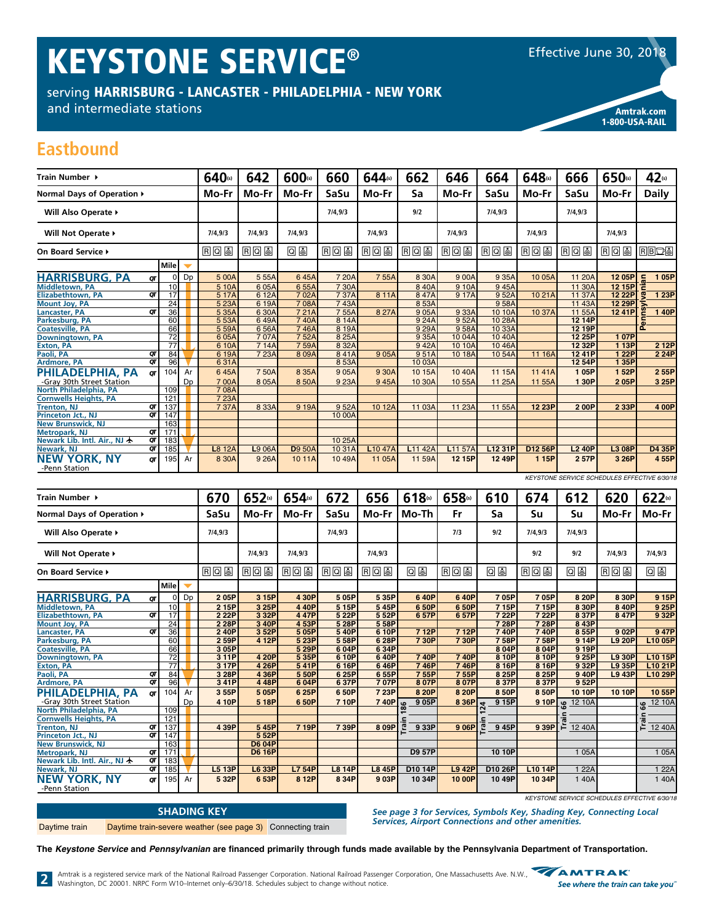# KEYSTONE SERVICE®

serving HARRISBURG - LANCASTER - PHILADELPHIA - NEW YORK

and intermediate stations and the stations of the stational stational stations are considered and the stations



1-800-USA-RAIL

### **Eastbound**

| Train Number ▶                        |    |                 |                      | 640(s)  | 642        | 600(s)         | 660        | 644(s)              | 662                 | 646                 | 664     | 648(s)  | 666           | 650(s)     | 42(s)              |
|---------------------------------------|----|-----------------|----------------------|---------|------------|----------------|------------|---------------------|---------------------|---------------------|---------|---------|---------------|------------|--------------------|
| Normal Days of Operation ▶            |    |                 |                      | Mo-Fr   | Mo-Fr      | Mo-Fr          | SaSu       | Mo-Fr               | Sa                  | Mo-Fr               | SaSu    | Mo-Fr   | SaSu          | Mo-Fr      | <b>Daily</b>       |
| Will Also Operate ▶                   |    |                 |                      |         |            |                | 7/4,9/3    |                     | 9/2                 |                     | 7/4.9/3 |         | 7/4,9/3       |            |                    |
| Will Not Operate ▶                    |    |                 | 7/4,9/3              | 7/4.9/3 | 7/4.9/3    |                | 7/4.9/3    |                     | 7/4,9/3             |                     | 7/4,9/3 |         | 7/4.9/3       |            |                    |
| On Board Service ▶                    |    |                 |                      | 旧回国     | <b>RQS</b> | 回国             | <b>RQS</b> | <b>RQU</b>          | <b>RQS</b>          | <b>EQS</b>          | RQ      | 国回国     | RQU           | <b>RQU</b> | <b>RBDS</b>        |
|                                       |    | l Mile l        | $\blacktriangledown$ |         |            |                |            |                     |                     |                     |         |         |               |            |                    |
| <b>HARRISBURG, PA</b>                 | QΤ | $\Omega$        | Dp                   | 5 00A   | 555A       | 645A           | 7 20A      | 755A                | 8 30A               | 900A                | 9 3 5 A | 10 05A  | 11 20A        | 12 05P     | 105P<br>$\epsilon$ |
| <b>Middletown, PA</b>                 |    | 10              |                      | 5 10A   | 605A       | 6 55A          | 7 30A      |                     | 840A                | 9 10A               | 945A    |         | 11 30A        | 12 15P     |                    |
| <b>Elizabethtown, PA</b>              | QT | $\overline{17}$ |                      | 5 17A   | 6 12A      | 702A           | 737A       | 8 11A               | 847A                | 9 17A               | 952A    | 1021A   | 11 37A        | 12 22P     | 1 23P              |
| <b>Mount Joy, PA</b>                  |    | $\overline{24}$ |                      | 5 23A   | 619A       | 708A           | 743A       |                     | 8 5 3 A             |                     | 958A    |         | 11 43A        | 12 29P     |                    |
| Lancaster, PA                         | QΤ | 36              |                      | 5 35A   | 630A       | 721A           | 755A       | 8 27A               | 905A                | 933A                | 10 10A  | 10 37A  | 11 55A        | 1241P      | 140P               |
| Parkesburg, PA                        |    | 60              |                      | 5 53A   | 649A       | 740A           | 8 14A      |                     | 9 24A               | 952A                | 10 28A  |         | 12 14P        |            |                    |
| <b>Coatesville, PA</b>                |    | 66              |                      | 5 59A   | 656A       | 746A           | 8 19A      |                     | 9 29A               | 958A                | 10 33A  |         | 12 19P        |            | ൨                  |
| Downingtown, PA                       |    | $\overline{72}$ |                      | 605A    | 707A       | 752A           | 8 25A      |                     | 9 35A               | 1004A               | 1040A   |         | 12 25P        | 107P       |                    |
| <b>Exton, PA</b>                      |    | $\overline{77}$ |                      | 6 10A   | 7 14A      | 759A           | 8 3 2 A    |                     | 942A                | 10 10A              | 1046A   |         | 12 32P        | 1 13P      | 2 12P              |
| Paoli, PA                             | QT | 84              |                      | 619A    | 7 23A      | 809A           | 841A       | 9 0 5 A             | 951A                | 10 18A              | 10 54A  | 11 16A  | 12 41P        | 1 22P      | 2 2 4 P            |
| Ardmore, PA                           | QΤ | 96              |                      | 631A    |            |                | 853A       |                     | 10 03A              |                     |         |         | 12 54P        | 135P       |                    |
| PHILADELPHIA, PA                      | ОТ | 104             | Ar                   | 645A    | 750A       | 8 3 5 A        | 905A       | 9 30A               | 10 15A              | 10 40A              | 11 15A  | 1141A   | 105P          | 152P       | 2 55P              |
| -Gray 30th Street Station             |    |                 | Dp                   | 700A    | 8 0 5 A    | 850A           | 9 23A      | 945A                | 10 30A              | 10 55A              | 11 25A  | 11 55A  | 1 30P         | 205P       | 3 25P              |
| North Philadelphia, PA                |    | 109             |                      | 708A    |            |                |            |                     |                     |                     |         |         |               |            |                    |
| <b>Cornwells Heights, PA</b>          |    | 121             |                      | 7 23A   |            |                |            |                     |                     |                     |         |         |               |            |                    |
| <b>Trenton, NJ</b>                    | QΤ | 137             |                      | 737A    | 8 3 3 A    | 9 19A          | 952A       | 10 12A              | 11 03A              | 11 23A              | 11 55A  | 12 23P  | 200P          | 2 3 3 P    | 4 00P              |
| <b>Princeton Jct., NJ</b>             | QΤ | 147             |                      |         |            |                | 10 00A     |                     |                     |                     |         |         |               |            |                    |
| <b>New Brunswick, NJ</b>              |    | 163             |                      |         |            |                |            |                     |                     |                     |         |         |               |            |                    |
| <b>Metropark, NJ</b>                  | QT | 171             |                      |         |            |                |            |                     |                     |                     |         |         |               |            |                    |
| Newark Lib. Intl. Air., NJ $\bigstar$ | QT | 183             |                      |         |            |                | 10 25A     |                     |                     |                     |         |         |               |            |                    |
| Newark, NJ                            | QT | 185             |                      | L8 12A  | L9 06A     | <b>D</b> 9 50A | 10 31A     | L <sub>10</sub> 47A | L <sub>11</sub> 42A | L <sub>11</sub> 57A | L12 31P | D12 56P | <b>L2 40P</b> | L3 08P     | D4 35P             |
| NEW YORK, NY                          | QΤ | 195             | Ar                   | 8 30A   | 9 26A      | 1011A          | 10 49A     | 11 05A              | 11 59A              | 12 15P              | 12 49P  | 1 15P   | 257P          | 3 26P      | 4 55P              |
| -Penn Station                         |    |                 |                      |         |            |                |            |                     |                     |                     |         |         |               |            |                    |

| <u>HARRISBURG, PA</u>                 | QT              | 01              | Dp                       | 5 00A           | 5 55A          | 6 45A           | 7 20A                  | 7 55A                 | 8 30A             | 9 00A                   | 9 35A                           | 10 05A            | 11 20A                                  | 12 05P                                       | 105P                             |
|---------------------------------------|-----------------|-----------------|--------------------------|-----------------|----------------|-----------------|------------------------|-----------------------|-------------------|-------------------------|---------------------------------|-------------------|-----------------------------------------|----------------------------------------------|----------------------------------|
| <b>Middletown, PA</b>                 |                 | 10              |                          | 5 10A           | 605A           | 655A            | 7 30A                  |                       | 840A              | 9 10A                   | 945A                            |                   | 11 30A                                  | 12 15P                                       |                                  |
| <b>Elizabethtown, PA</b>              | $\overline{or}$ | 17              |                          | 5 17A           | 6 12A          | 702A            | 737A                   | 8 11A                 | 847A              | 9 17A                   | 952A                            | 1021A             | 11 37A                                  | 12 22P                                       | 1 23P                            |
| <b>Mount Joy, PA</b>                  |                 | 24              |                          | 5 23A           | 619A           | 7 08A           | 743A                   |                       | 853A              |                         | 958A                            |                   | 11 43A                                  | 12 29P                                       |                                  |
| Lancaster, PA                         | OΤ              | 36              |                          | 5 35A           | 6 30A          | 721A            | 755A                   | 8 27A                 | 905A              | 9 33A                   | 10 10A                          | 10 37A            | 11 55A                                  | 12 41P                                       | 140P                             |
| Parkesburg, PA                        |                 | 60              |                          | 5 53A           | 649A           | 740A            | 8 14A                  |                       | 9 24A             | 952A                    | 10 28A                          |                   | 12 14P                                  |                                              |                                  |
| <b>Coatesville, PA</b>                |                 | 66              |                          | 5 59A           | 656A           | 746A            | 8 19A                  |                       | 9 29A             | 958A                    | 10 33A                          |                   | 12 19P                                  |                                              | <b>Pe</b>                        |
| Downingtown, PA                       |                 | $\overline{72}$ |                          | 6 05A           | 707A           | 752A            | 8 25A                  |                       | 9 35A             | 1004A                   | 10 40A                          |                   | 12 25P                                  | 107P                                         |                                  |
| <b>Exton, PA</b>                      |                 | $\overline{77}$ |                          | 6 10A           | 7 14A          | 759A            | 8 32A                  |                       | 942A              | 10 10A                  | 1046A                           |                   | 12 32P                                  | 113P                                         | 2 12P                            |
| Paoli, PA                             | QΤ              | 84              |                          | 6 19A           | 7 23A          | 809A            | 841A                   | 905A                  | 951A              | 10 18A                  | 1054A                           | 11 16A            | 1241P                                   | 1 22P                                        | 2 24P                            |
| <b>Ardmore, PA</b>                    | OΤ              | 96              |                          | 631A            |                |                 | 853A                   |                       | 10 03A            |                         |                                 |                   | 12 54P                                  | 1 35P                                        |                                  |
| PHILADELPHIA, PA                      | OΤ              | 104             | Ar                       | 645A            | 750A           | 8 35A           | 9 05A                  | 9 30A                 | 10 15A            | 10 40A                  | 11 15A                          | 11 41A            | 105P                                    | 152P                                         | 2 55P                            |
| -Gray 30th Street Station             |                 |                 | Dp                       | 700A            | 8 05A          | 850A            | 9 23A                  | 945A                  | 10 30A            | 10 55A                  | 11 25A                          | 11 55A            | 1 30P                                   | 205P                                         | 3 25P                            |
| North Philadelphia, PA                |                 | 109             |                          | 708A            |                |                 |                        |                       |                   |                         |                                 |                   |                                         |                                              |                                  |
| <b>Cornwells Heights, PA</b>          |                 | 121             |                          | 7 23A           |                |                 |                        |                       |                   |                         |                                 |                   |                                         |                                              |                                  |
| <b>Trenton, NJ</b>                    | QΤ              | 137             |                          | 7 37A           | 8 3 3 A        | 9 19A           | 952A                   | 10 12A                | 11 03A            | 11 23A                  | 11 55A                          | 12 23P            | 200P                                    | 2 33P                                        | 4 00P                            |
| Princeton Jct., NJ                    | QΤ              | 147             |                          |                 |                |                 | 10 00A                 |                       |                   |                         |                                 |                   |                                         |                                              |                                  |
| <b>New Brunswick, NJ</b>              |                 | 163             |                          |                 |                |                 |                        |                       |                   |                         |                                 |                   |                                         |                                              |                                  |
| <b>Metropark, NJ</b>                  | $\sigma$        | 171             |                          |                 |                |                 |                        |                       |                   |                         |                                 |                   |                                         |                                              |                                  |
| Newark Lib. Intl. Air., NJ $\bigstar$ | $\overline{or}$ | 183             |                          |                 |                |                 | 10 25A                 |                       |                   |                         |                                 |                   |                                         |                                              |                                  |
| Newark, NJ                            | QT              | 185             |                          | L8 12A          | L9 06A         | <b>D</b> 9 50A  | 10 31A                 | L10 47A               | L11 42A           | L11 57A                 | L12 31P                         | D12 56P           | <b>L2 40P</b>                           | L3 08P                                       | D4 35P                           |
| <b>NEW YORK, NY</b>                   | OΤ              | 195             | Ar                       | 8 30A           | 926A           | 1011A           | 10 49A                 | 11 05A                | 11 59A            | 12 15P                  | 12 49P                          | 1 15P             | 257P                                    | 3 26P                                        | 4 55P                            |
|                                       |                 |                 |                          |                 |                |                 |                        |                       |                   |                         |                                 |                   |                                         |                                              |                                  |
| -Penn Station                         |                 |                 |                          |                 |                |                 |                        |                       |                   |                         |                                 |                   |                                         |                                              |                                  |
|                                       |                 |                 |                          |                 |                |                 |                        |                       |                   |                         |                                 |                   |                                         | KEYSTONE SERVICE SCHEDULES EFFECTIVE 6/30/18 |                                  |
| Train Number ▶                        |                 |                 |                          | 670             | 652(s)         | 654(s)          | 672                    | 656                   | 618(s)            | 658(s)                  | 610                             | 674               | 612                                     | 620                                          | 622(s)                           |
|                                       |                 |                 |                          |                 |                |                 |                        |                       |                   |                         |                                 |                   |                                         |                                              |                                  |
| Normal Days of Operation ▶            |                 |                 |                          | SaSu            | Mo-Fr          | Mo-Fr           | SaSu                   | Mo-Fr                 | Mo-Th             | <b>Fr</b>               | Sa                              | Su                | Su                                      | Mo-Fr                                        | Mo-Fr                            |
| Will Also Operate ▶                   |                 |                 |                          | 7/4,9/3         |                |                 | 7/4,9/3                |                       |                   | 7/3                     | 9/2                             | 7/4,9/3           | 7/4,9/3                                 |                                              |                                  |
| Will Not Operate >                    |                 |                 |                          |                 | 7/4,9/3        | 7/4,9/3         |                        | 7/4.9/3               |                   |                         |                                 | 9/2               | 9/2                                     | 7/4,9/3                                      | 7/4,9/3                          |
| On Board Service ▶                    |                 |                 |                          | 日回国             | RQ             | RQ              | 日口园                    | RQ                    | 回国                | RQ                      | 回国                              | RQ                | 回国                                      | 日回国                                          | 0 L                              |
|                                       |                 | Mile            |                          |                 |                |                 |                        |                       |                   |                         |                                 |                   |                                         |                                              |                                  |
| <b>HARRISBURG, PA</b>                 |                 |                 | $\overline{\phantom{0}}$ |                 |                |                 |                        |                       |                   |                         |                                 |                   |                                         |                                              |                                  |
|                                       |                 |                 |                          |                 |                |                 |                        |                       |                   |                         |                                 |                   |                                         |                                              |                                  |
|                                       | QΤ              | $\Omega$        | Dp                       | 205P            | 3 15P          | 4 30P           | 505P                   | 5 35P                 | 640P              | 640P                    | 705P                            | 705P              | 8 20P                                   | 8 30P                                        | 9 15P                            |
| Middletown, PA                        |                 | 10 <sup>1</sup> |                          | 2 15P           | 3 25P          | 440P            | 5 15P                  | 545P                  | 650P              | 6 50P                   | 715P                            | 7 15P             | 8 30P                                   | 840P                                         | 9 25P                            |
| <b>Elizabethtown, PA</b>              | $\overline{a}$  | 17              |                          | 2 2 2 P         | 3 32P          | 447P            | 5 22P                  | 5 52P                 | 657P              | 657P                    | 7 22P                           | 722P              | 8 37P                                   | 847P                                         | 9 32P                            |
| <b>Mount Joy, PA</b>                  |                 | $\overline{24}$ |                          | 2 28P           | 3 40P          | 4 53P           | 5 28P                  | 558P                  |                   |                         | 7 28P                           | 728P              | 8 43P                                   |                                              |                                  |
| Lancaster, PA                         | OΤ              | 36              |                          | 2 40P           | 352P           | 5 05P           | 540P                   | 610P                  | 712P              | 712P                    | 740P                            | 740P              | 855P                                    | 902P                                         | 947P                             |
| Parkesburg, PA                        |                 | 60              |                          | 2 59P           | 412P           | 5 23P           | 558P                   | 628P                  | 730P              | 730P                    | 758P                            | 758P              | 9 14P                                   | <b>L9 20P</b>                                | L10 05P                          |
| <b>Coatesville, PA</b>                |                 | 66              |                          | 3 05P           |                | 5 29P           | 604P                   | 6 34P                 |                   |                         | 8 04P                           | 804P              | 9 19P                                   |                                              |                                  |
| <b>Downingtown, PA</b>                |                 | $\overline{72}$ |                          | 311P            | 4 20P          | 5 35P           | 6 10P                  | 640P                  | 740P              | 740P                    | 8 10P                           | 8 10P             | 9 25P                                   | <b>L9 30P</b>                                | L10 15P                          |
| <b>Exton, PA</b>                      |                 | 77              |                          | 3 17P           | 4 26P          | 541P            | 6 16P                  | 646P                  | 746P              | 746P                    | 8 16P                           | 8 16P             | 9 32P                                   | L9 35P                                       | L10 21P                          |
| Paoli, PA                             | στ              | 84              |                          | 3 28P           | 4 36P          | 5 50P           | 6 25P                  | 655P                  | 755P              | 755P                    | 8 25P                           | 8 25P             | 940P                                    | L9 43P                                       | L10 29P                          |
| <b>Ardmore, PA</b>                    | QT              | 96              |                          | 341P            | 448P           | 604P            | 637P                   | 707P                  | 807P              | 8 07P                   | 837P                            | 837P              | 952P                                    |                                              |                                  |
| PHILADELPHIA, PA                      | QΤ              | 104             | Ar                       | 3 55P           | 505P           | 6 25P           | 6 50P                  | 7 23P                 | 8 20P             | 8 20P                   | 850P                            | 8 50P             | 10 10P                                  | 10 10P                                       | 1055P                            |
| -Gray 30th Street Station             |                 |                 | Dp                       | 4 10P           | 5 18P          | 650P            | 710P                   | 740P                  | 9 05P             | 8 36P                   | 9 15P                           | 910P              |                                         |                                              | 12 10A                           |
| North Philadelphia, PA                |                 | 109             |                          |                 |                |                 |                        |                       | 86                |                         | 24                              |                   | <u>g 12 10A</u>                         |                                              | 99                               |
| <b>Cornwells Heights, PA</b>          |                 | 121             |                          |                 |                |                 |                        |                       |                   |                         |                                 |                   |                                         |                                              |                                  |
| <b>Trenton, NJ</b>                    | στ              | 137             |                          | 4 39P           | 545P           | 719P            | 739P                   | 809P                  | ē,<br>9 33P       | 9 06P                   | $\overline{\mathbf{e}}$<br>945P |                   | $\frac{1}{9}$ 39P $\frac{1}{12}$ 12 40A |                                              | $\frac{2}{5}$ $\frac{2}{12}$ 40A |
| Princeton Jct., NJ                    | $\overline{q}$  | 147             |                          |                 | 552P           |                 |                        |                       |                   |                         |                                 |                   |                                         |                                              |                                  |
| <b>New Brunswick, NJ</b>              |                 | 163             |                          |                 | <b>D6 04P</b>  |                 |                        |                       |                   |                         |                                 |                   |                                         |                                              |                                  |
| <b>Metropark, NJ</b>                  | QT              | 171             |                          |                 | <b>D6 16P</b>  |                 |                        |                       | D9 57P            |                         | 10 10P                          |                   | 1 05A                                   |                                              | 1 05A                            |
| Newark Lib. Intl. Air., NJ $\bigstar$ | QT              | 183             |                          |                 |                |                 |                        |                       |                   |                         |                                 |                   |                                         |                                              |                                  |
| Newark, NJ<br><b>NEW YORK, NY</b>     | QΤ<br>QΤ        | 185<br>195      | Ar                       | L5 13P<br>5 32P | L6 33P<br>653P | L7 54P<br>8 12P | <b>L8 14P</b><br>8 34P | <b>L8 45P</b><br>903P | D10 14P<br>10 34P | <b>L9 42P</b><br>10 00P | D10 26P<br>10 49P               | L10 14P<br>10 34P | 1 22A<br>1 40A                          |                                              | 1 22A<br>1 40A                   |

| <b>SHADING KEY</b> |                                                            |  |  |  |  |  |  |  |  |
|--------------------|------------------------------------------------------------|--|--|--|--|--|--|--|--|
| Daytime train      | Daytime train-severe weather (see page 3) Connecting train |  |  |  |  |  |  |  |  |

*KEYSTONE SERVICE SCHEDULES EFFECTIVE 6/30/18*

*See page 3 for Services, Symbols Key, Shading Key, Connecting Local Services, Airport Connections and other amenities.* 

**The Keystone Service and Pennsylvanian are financed primarily through funds made available by the Pennsylvania Department of Transportation.**

2 Amtrak is a registered service mark of the National Railroad Passenger Corporation. National Railroad Passenger Corporation, One Massachusetts Ave. N.W., See where the train of Washington, DC 20001. NRPC Form W10-Interne